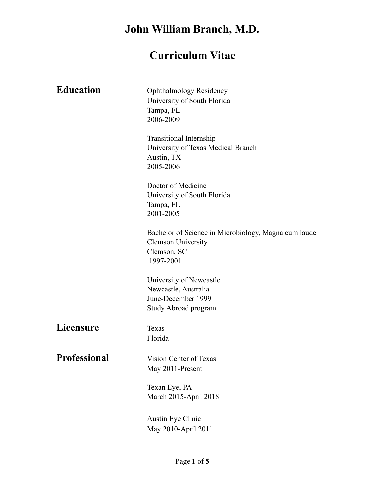# **Curriculum Vitae**

| <b>Education</b>    | <b>Ophthalmology Residency</b><br>University of South Florida<br>Tampa, FL<br>2006-2009                       |
|---------------------|---------------------------------------------------------------------------------------------------------------|
|                     | <b>Transitional Internship</b><br>University of Texas Medical Branch<br>Austin, TX<br>2005-2006               |
|                     | Doctor of Medicine<br>University of South Florida<br>Tampa, FL<br>2001-2005                                   |
|                     | Bachelor of Science in Microbiology, Magna cum laude<br><b>Clemson University</b><br>Clemson, SC<br>1997-2001 |
|                     | University of Newcastle<br>Newcastle, Australia<br>June-December 1999<br>Study Abroad program                 |
| <b>Licensure</b>    | Texas<br>Florida                                                                                              |
| <b>Professional</b> | Vision Center of Texas<br>May 2011-Present                                                                    |
|                     | Texan Eye, PA<br>March 2015-April 2018                                                                        |
|                     | <b>Austin Eye Clinic</b><br>May 2010-April 2011                                                               |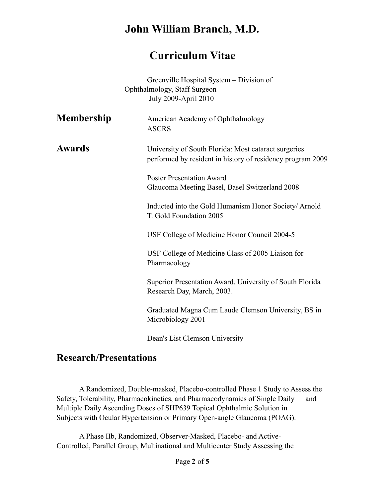#### **Curriculum Vitae**

Greenville Hospital System – Division of Ophthalmology, Staff Surgeon July 2009-April 2010

| <b>Membership</b> | American Academy of Ophthalmology<br><b>ASCRS</b>                                                                  |
|-------------------|--------------------------------------------------------------------------------------------------------------------|
| <b>Awards</b>     | University of South Florida: Most cataract surgeries<br>performed by resident in history of residency program 2009 |
|                   | <b>Poster Presentation Award</b><br>Glaucoma Meeting Basel, Basel Switzerland 2008                                 |
|                   | Inducted into the Gold Humanism Honor Society/Arnold<br>T. Gold Foundation 2005                                    |
|                   | USF College of Medicine Honor Council 2004-5                                                                       |
|                   | USF College of Medicine Class of 2005 Liaison for<br>Pharmacology                                                  |
|                   | Superior Presentation Award, University of South Florida<br>Research Day, March, 2003.                             |
|                   | Graduated Magna Cum Laude Clemson University, BS in<br>Microbiology 2001                                           |
|                   |                                                                                                                    |

Dean's List Clemson University

#### **Research/Presentations**

 A Randomized, Double-masked, Placebo-controlled Phase 1 Study to Assess the Safety, Tolerability, Pharmacokinetics, and Pharmacodynamics of Single Daily and Multiple Daily Ascending Doses of SHP639 Topical Ophthalmic Solution in Subjects with Ocular Hypertension or Primary Open-angle Glaucoma (POAG).

 A Phase IIb, Randomized, Observer-Masked, Placebo- and Active-Controlled, Parallel Group, Multinational and Multicenter Study Assessing the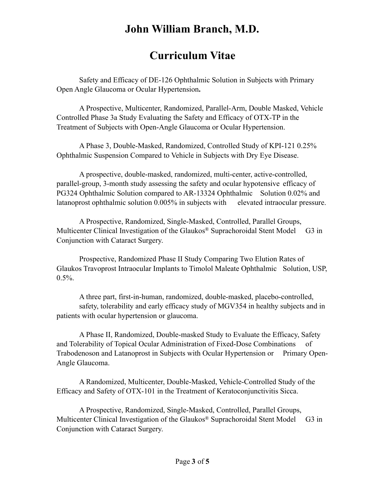### **Curriculum Vitae**

 Safety and Efficacy of DE-126 Ophthalmic Solution in Subjects with Primary Open Angle Glaucoma or Ocular Hypertension**.**

 A Prospective, Multicenter, Randomized, Parallel-Arm, Double Masked, Vehicle Controlled Phase 3a Study Evaluating the Safety and Efficacy of OTX-TP in the Treatment of Subjects with Open-Angle Glaucoma or Ocular Hypertension.

 A Phase 3, Double-Masked, Randomized, Controlled Study of KPI-121 0.25% Ophthalmic Suspension Compared to Vehicle in Subjects with Dry Eye Disease.

 A prospective, double-masked, randomized, multi-center, active-controlled, parallel-group, 3-month study assessing the safety and ocular hypotensive efficacy of PG324 Ophthalmic Solution compared to AR-13324 Ophthalmic Solution 0.02% and latanoprost ophthalmic solution 0.005% in subjects with elevated intraocular pressure.

 A Prospective, Randomized, Single-Masked, Controlled, Parallel Groups, Multicenter Clinical Investigation of the Glaukos® Suprachoroidal Stent Model G3 in Conjunction with Cataract Surgery.

 Prospective, Randomized Phase II Study Comparing Two Elution Rates of Glaukos Travoprost Intraocular Implants to Timolol Maleate Ophthalmic Solution, USP, 0.5%.

 A three part, first-in-human, randomized, double-masked, placebo-controlled, safety, tolerability and early efficacy study of MGV354 in healthy subjects and in patients with ocular hypertension or glaucoma.

 A Phase II, Randomized, Double-masked Study to Evaluate the Efficacy, Safety and Tolerability of Topical Ocular Administration of Fixed-Dose Combinations of Trabodenoson and Latanoprost in Subjects with Ocular Hypertension or Primary Open-Angle Glaucoma.

 A Randomized, Multicenter, Double-Masked, Vehicle-Controlled Study of the Efficacy and Safety of OTX-101 in the Treatment of Keratoconjunctivitis Sicca.

 A Prospective, Randomized, Single-Masked, Controlled, Parallel Groups, Multicenter Clinical Investigation of the Glaukos® Suprachoroidal Stent Model G3 in Conjunction with Cataract Surgery.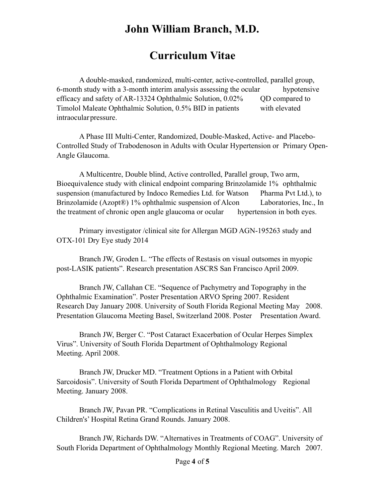### **Curriculum Vitae**

 A double-masked, randomized, multi-center, active-controlled, parallel group, 6-month study with a 3-month interim analysis assessing the ocular hypotensive efficacy and safety of AR-13324 Ophthalmic Solution,  $0.02\%$  QD compared to Timolol Maleate Ophthalmic Solution, 0.5% BID in patients with elevated intraocular pressure.

 A Phase III Multi-Center, Randomized, Double-Masked, Active- and Placebo-Controlled Study of Trabodenoson in Adults with Ocular Hypertension or Primary Open-Angle Glaucoma.

 A Multicentre, Double blind, Active controlled, Parallel group, Two arm, Bioequivalence study with clinical endpoint comparing Brinzolamide 1% ophthalmic suspension (manufactured by Indoco Remedies Ltd. for Watson Pharma Pvt Ltd.), to Brinzolamide (Azopt®) 1% ophthalmic suspension of Alcon Laboratories, Inc., In the treatment of chronic open angle glaucoma or ocular hypertension in both eyes.

 Primary investigator /clinical site for Allergan MGD AGN-195263 study and OTX-101 Dry Eye study 2014

Branch JW, Groden L. "The effects of Restasis on visual outsomes in myopic post-LASIK patients". Research presentation ASCRS San Francisco April 2009.

Branch JW, Callahan CE. "Sequence of Pachymetry and Topography in the Ophthalmic Examination". Poster Presentation ARVO Spring 2007. Resident Research Day January 2008. University of South Florida Regional Meeting May 2008. Presentation Glaucoma Meeting Basel, Switzerland 2008. Poster Presentation Award.

Branch JW, Berger C. "Post Cataract Exacerbation of Ocular Herpes Simplex Virus". University of South Florida Department of Ophthalmology Regional Meeting. April 2008.

Branch JW, Drucker MD. "Treatment Options in a Patient with Orbital Sarcoidosis". University of South Florida Department of Ophthalmology Regional Meeting. January 2008.

Branch JW, Pavan PR. "Complications in Retinal Vasculitis and Uveitis". All Children's' Hospital Retina Grand Rounds. January 2008.

Branch JW, Richards DW. "Alternatives in Treatments of COAG". University of South Florida Department of Ophthalmology Monthly Regional Meeting. March 2007.